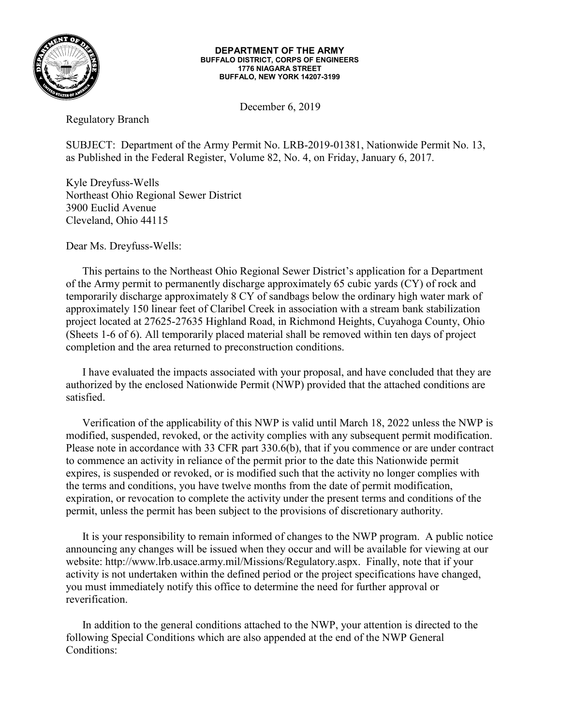

## **DEPARTMENT OF THE ARMY BUFFALO DISTRICT, CORPS OF ENGINEERS 1776 NIAGARA STREET BUFFALO, NEW YORK 14207-3199**

December 6, 2019

Regulatory Branch

SUBJECT: Department of the Army Permit No. LRB-2019-01381, Nationwide Permit No. 13, as Published in the Federal Register, Volume 82, No. 4, on Friday, January 6, 2017.

Kyle Dreyfuss-Wells Northeast Ohio Regional Sewer District 3900 Euclid Avenue Cleveland, Ohio 44115

Dear Ms. Dreyfuss-Wells:

This pertains to the Northeast Ohio Regional Sewer District's application for a Department of the Army permit to permanently discharge approximately 65 cubic yards (CY) of rock and temporarily discharge approximately 8 CY of sandbags below the ordinary high water mark of approximately 150 linear feet of Claribel Creek in association with a stream bank stabilization project located at 27625-27635 Highland Road, in Richmond Heights, Cuyahoga County, Ohio (Sheets 1-6 of 6). All temporarily placed material shall be removed within ten days of project completion and the area returned to preconstruction conditions.

I have evaluated the impacts associated with your proposal, and have concluded that they are authorized by the enclosed Nationwide Permit (NWP) provided that the attached conditions are satisfied.

Verification of the applicability of this NWP is valid until March 18, 2022 unless the NWP is modified, suspended, revoked, or the activity complies with any subsequent permit modification. Please note in accordance with 33 CFR part 330.6(b), that if you commence or are under contract to commence an activity in reliance of the permit prior to the date this Nationwide permit expires, is suspended or revoked, or is modified such that the activity no longer complies with the terms and conditions, you have twelve months from the date of permit modification, expiration, or revocation to complete the activity under the present terms and conditions of the permit, unless the permit has been subject to the provisions of discretionary authority.

It is your responsibility to remain informed of changes to the NWP program. A public notice announcing any changes will be issued when they occur and will be available for viewing at our website: http://www.lrb.usace.army.mil/Missions/Regulatory.aspx. Finally, note that if your activity is not undertaken within the defined period or the project specifications have changed, you must immediately notify this office to determine the need for further approval or reverification.

In addition to the general conditions attached to the NWP, your attention is directed to the following Special Conditions which are also appended at the end of the NWP General Conditions: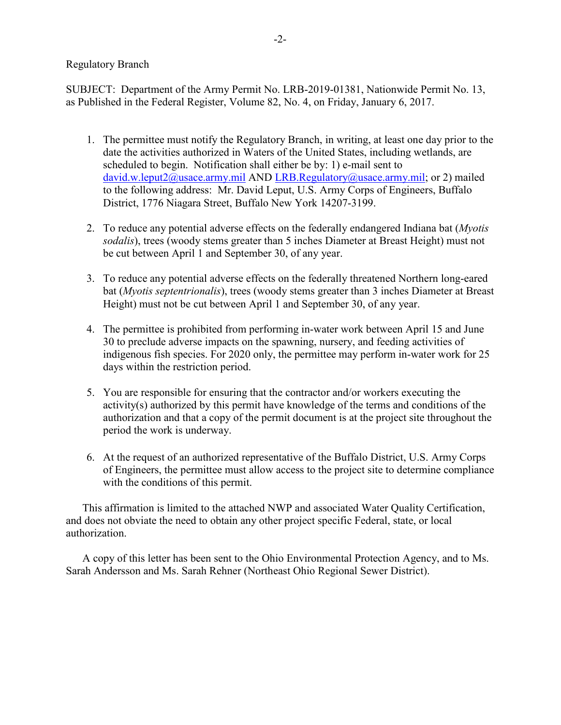## Regulatory Branch

SUBJECT: Department of the Army Permit No. LRB-2019-01381, Nationwide Permit No. 13, as Published in the Federal Register, Volume 82, No. 4, on Friday, January 6, 2017.

- 1. The permittee must notify the Regulatory Branch, in writing, at least one day prior to the date the activities authorized in Waters of the United States, including wetlands, are scheduled to begin. Notification shall either be by: 1) e-mail sent to [david.w.leput2@usace.army.mil](mailto:david.w.leput2@usace.army.mil) AND [LRB.Regulatory@usace.army.mil;](mailto:LRB.Regulatory@usace.army.mil) or 2) mailed to the following address: Mr. David Leput, U.S. Army Corps of Engineers, Buffalo District, 1776 Niagara Street, Buffalo New York 14207-3199.
- 2. To reduce any potential adverse effects on the federally endangered Indiana bat (*Myotis sodalis*), trees (woody stems greater than 5 inches Diameter at Breast Height) must not be cut between April 1 and September 30, of any year.
- 3. To reduce any potential adverse effects on the federally threatened Northern long-eared bat (*Myotis septentrionalis*), trees (woody stems greater than 3 inches Diameter at Breast Height) must not be cut between April 1 and September 30, of any year.
- 4. The permittee is prohibited from performing in-water work between April 15 and June 30 to preclude adverse impacts on the spawning, nursery, and feeding activities of indigenous fish species. For 2020 only, the permittee may perform in-water work for 25 days within the restriction period.
- 5. You are responsible for ensuring that the contractor and/or workers executing the activity(s) authorized by this permit have knowledge of the terms and conditions of the authorization and that a copy of the permit document is at the project site throughout the period the work is underway.
- 6. At the request of an authorized representative of the Buffalo District, U.S. Army Corps of Engineers, the permittee must allow access to the project site to determine compliance with the conditions of this permit.

This affirmation is limited to the attached NWP and associated Water Quality Certification, and does not obviate the need to obtain any other project specific Federal, state, or local authorization.

A copy of this letter has been sent to the Ohio Environmental Protection Agency, and to Ms. Sarah Andersson and Ms. Sarah Rehner (Northeast Ohio Regional Sewer District).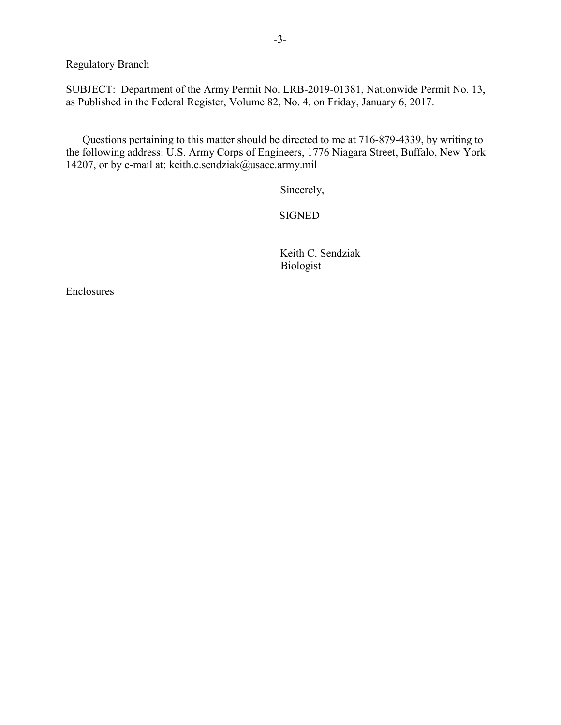Regulatory Branch

SUBJECT: Department of the Army Permit No. LRB-2019-01381, Nationwide Permit No. 13, as Published in the Federal Register, Volume 82, No. 4, on Friday, January 6, 2017.

Questions pertaining to this matter should be directed to me at 716-879-4339, by writing to the following address: U.S. Army Corps of Engineers, 1776 Niagara Street, Buffalo, New York 14207, or by e-mail at: keith.c.sendziak@usace.army.mil

Sincerely,

SIGNED

 Keith C. Sendziak Biologist

Enclosures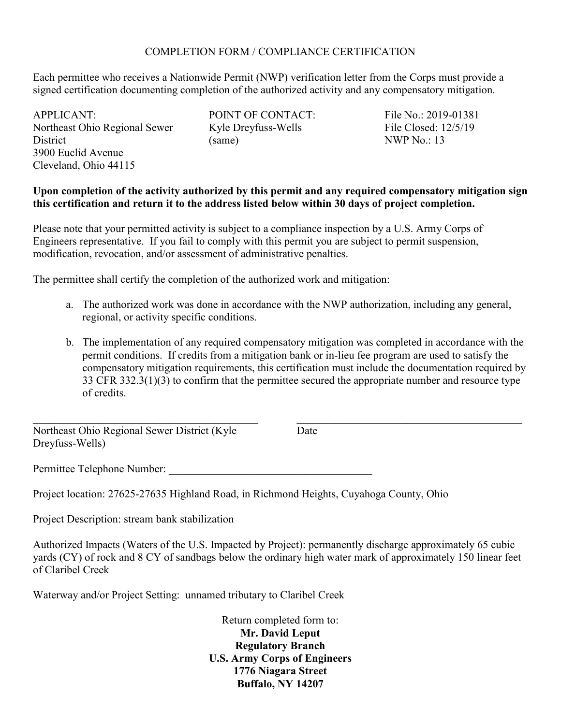## COMPLETION FORM / COMPLIANCE CERTIFICATION

Each permittee who receives a Nationwide Permit (NWP) verification letter from the Corps must provide a signed certification documenting completion of the authorized activity and any compensatory mitigation.

APPLICANT: Northeast Ohio Regional Sewer **District** 3900 Euclid Avenue Cleveland, Ohio 44115

POINT OF CONTACT: Kyle Dreyfuss-Wells (same)

File No.: 2019-01381 File Closed: 12/5/19 NWP No.: 13

 $\mathcal{L}_\mathcal{L}$  , and the set of the set of the set of the set of the set of the set of the set of the set of the set of the set of the set of the set of the set of the set of the set of the set of the set of the set of th

## **Upon completion of the activity authorized by this permit and any required compensatory mitigation sign this certification and return it to the address listed below within 30 days of project completion.**

Please note that your permitted activity is subject to a compliance inspection by a U.S. Army Corps of Engineers representative. If you fail to comply with this permit you are subject to permit suspension, modification, revocation, and/or assessment of administrative penalties.

The permittee shall certify the completion of the authorized work and mitigation:

- a. The authorized work was done in accordance with the NWP authorization, including any general, regional, or activity specific conditions.
- b. The implementation of any required compensatory mitigation was completed in accordance with the permit conditions. If credits from a mitigation bank or in-lieu fee program are used to satisfy the compensatory mitigation requirements, this certification must include the documentation required by 33 CFR 332.3(1)(3) to confirm that the permittee secured the appropriate number and resource type of credits.

Northeast Ohio Regional Sewer District (Kyle Dreyfuss-Wells)

 $\mathcal{L}_\mathcal{L}$  , and the set of the set of the set of the set of the set of the set of the set of the set of the set of the set of the set of the set of the set of the set of the set of the set of the set of the set of th

Date

Permittee Telephone Number:

Project location: 27625-27635 Highland Road, in Richmond Heights, Cuyahoga County, Ohio

Project Description: stream bank stabilization

Authorized Impacts (Waters of the U.S. Impacted by Project): permanently discharge approximately 65 cubic yards (CY) of rock and 8 CY of sandbags below the ordinary high water mark of approximately 150 linear feet of Claribel Creek

Waterway and/or Project Setting: unnamed tributary to Claribel Creek

Return completed form to: **Mr. David Leput Regulatory Branch U.S. Army Corps of Engineers 1776 Niagara Street Buffalo, NY 14207**